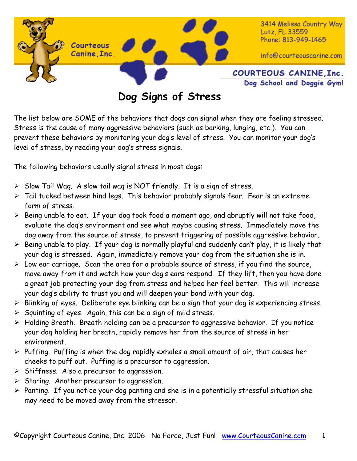

**Dog Signs of Stress** 

The list below are SOME of the behaviors that dogs can signal when they are feeling stressed. Stress is the cause of many aggressive behaviors (such as barking, lunging, etc.). You can prevent these behaviors by monitoring your dog's level of stress. You can monitor your dog's level of stress, by reading your dog's stress signals.

The following behaviors usually signal stress in most dogs:

- ¾ Slow Tail Wag. A slow tail wag is NOT friendly. It is a sign of stress.
- $\triangleright$  Tail tucked between hind legs. This behavior probably signals fear. Fear is an extreme form of stress.
- ¾ Being unable to eat. If your dog took food a moment ago, and abruptly will not take food, evaluate the dog's environment and see what maybe causing stress. Immediately move the dog away from the source of stress, to prevent triggering of possible aggressive behavior.
- $\triangleright$  Being unable to play. If your dog is normally playful and suddenly can't play, it is likely that your dog is stressed. Again, immediately remove your dog from the situation she is in.
- $\triangleright$  Low ear carriage. Scan the area for a probable source of stress, if you find the source, move away from it and watch how your dog's ears respond. If they lift, then you have done a great job protecting your dog from stress and helped her feel better. This will increase your dog's ability to trust you and will deepen your bond with your dog.
- ¾ Blinking of eyes. Deliberate eye blinking can be a sign that your dog is experiencing stress.
- $\triangleright$  Squinting of eyes. Again, this can be a sign of mild stress.
- ¾ Holding Breath. Breath holding can be a precursor to aggressive behavior. If you notice your dog holding her breath, rapidly remove her from the source of stress in her environment.
- $\triangleright$  Puffing. Puffing is when the dog rapidly exhales a small amount of air, that causes her cheeks to puff out. Puffing is a precursor to aggression.
- $\triangleright$  Stiffness. Also a precursor to aggression.
- $\triangleright$  Staring. Another precursor to aggression.
- $\triangleright$  Panting. If you notice your dog panting and she is in a potentially stressful situation she may need to be moved away from the stressor.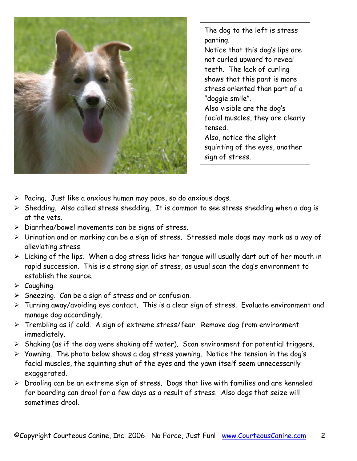

The dog to the left is stress panting. Notice that this dog's lips are not curled upward to reveal teeth. The lack of curling shows that this pant is more stress oriented than part of a "doggie smile". Also visible are the dog's facial muscles, they are clearly tensed. Also, notice the slight squinting of the eyes, another sign of stress.

- $\triangleright$  Pacing. Just like a anxious human may pace, so do anxious dogs.
- ¾ Shedding. Also called stress shedding. It is common to see stress shedding when a dog is at the vets.
- $\triangleright$  Diarrhea/bowel movements can be signs of stress.
- ¾ Urination and or marking can be a sign of stress. Stressed male dogs may mark as a way of alleviating stress.
- $\triangleright$  Licking of the lips. When a dog stress licks her tongue will usually dart out of her mouth in rapid succession. This is a strong sign of stress, as usual scan the dog's environment to establish the source.
- $\triangleright$  Coughing.
- $\triangleright$  Sneezing. Can be a sign of stress and or confusion.
- ¾ Turning away/avoiding eye contact. This is a clear sign of stress. Evaluate environment and manage dog accordingly.
- ¾ Trembling as if cold. A sign of extreme stress/fear. Remove dog from environment immediately.
- $\triangleright$  Shaking (as if the dog were shaking off water). Scan environment for potential triggers.
- ¾ Yawning. The photo below shows a dog stress yawning. Notice the tension in the dog's facial muscles, the squinting shut of the eyes and the yawn itself seem unnecessarily exaggerated.
- ¾ Drooling can be an extreme sign of stress. Dogs that live with families and are kenneled for boarding can drool for a few days as a result of stress. Also dogs that seize will sometimes drool.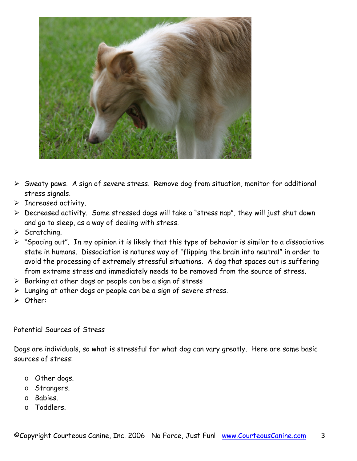

- ¾ Sweaty paws. A sign of severe stress. Remove dog from situation, monitor for additional stress signals.
- $\triangleright$  Increased activity.
- ¾ Decreased activity. Some stressed dogs will take a "stress nap", they will just shut down and go to sleep, as a way of dealing with stress.
- $\triangleright$  Scratching.
- ¾ "Spacing out". In my opinion it is likely that this type of behavior is similar to a dissociative state in humans. Dissociation is natures way of "flipping the brain into neutral" in order to avoid the processing of extremely stressful situations. A dog that spaces out is suffering from extreme stress and immediately needs to be removed from the source of stress.
- $\triangleright$  Barking at other dogs or people can be a sign of stress
- $\triangleright$  Lunging at other dogs or people can be a sign of severe stress.
- ¾ Other:

## Potential Sources of Stress

Dogs are individuals, so what is stressful for what dog can vary greatly. Here are some basic sources of stress:

- o Other dogs.
- o Strangers.
- o Babies.
- o Toddlers.